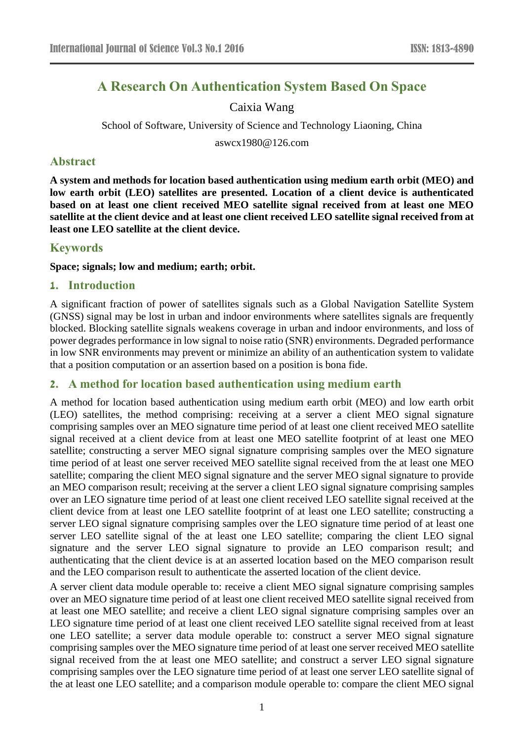# **A Research On Authentication System Based On Space**

## Caixia Wang

School of Software, University of Science and Technology Liaoning, China

aswcx1980@126.com

### **Abstract**

**A system and methods for location based authentication using medium earth orbit (MEO) and low earth orbit (LEO) satellites are presented. Location of a client device is authenticated based on at least one client received MEO satellite signal received from at least one MEO satellite at the client device and at least one client received LEO satellite signal received from at least one LEO satellite at the client device.**

## **Keywords**

#### **Space; signals; low and medium; earth; orbit.**

#### **1. Introduction**

A significant fraction of power of satellites signals such as a Global Navigation Satellite System (GNSS) signal may be lost in urban and indoor environments where satellites signals are frequently blocked. Blocking satellite signals weakens coverage in urban and indoor environments, and loss of power degrades performance in low signal to noise ratio (SNR) environments. Degraded performance in low SNR environments may prevent or minimize an ability of an authentication system to validate that a position computation or an assertion based on a position is bona fide.

#### **2. A method for location based authentication using medium earth**

A method for location based authentication using medium earth orbit (MEO) and low earth orbit (LEO) satellites, the method comprising: receiving at a server a client MEO signal signature comprising samples over an MEO signature time period of at least one client received MEO satellite signal received at a client device from at least one MEO satellite footprint of at least one MEO satellite; constructing a server MEO signal signature comprising samples over the MEO signature time period of at least one server received MEO satellite signal received from the at least one MEO satellite; comparing the client MEO signal signature and the server MEO signal signature to provide an MEO comparison result; receiving at the server a client LEO signal signature comprising samples over an LEO signature time period of at least one client received LEO satellite signal received at the client device from at least one LEO satellite footprint of at least one LEO satellite; constructing a server LEO signal signature comprising samples over the LEO signature time period of at least one server LEO satellite signal of the at least one LEO satellite; comparing the client LEO signal signature and the server LEO signal signature to provide an LEO comparison result; and authenticating that the client device is at an asserted location based on the MEO comparison result and the LEO comparison result to authenticate the asserted location of the client device.

A server client data module operable to: receive a client MEO signal signature comprising samples over an MEO signature time period of at least one client received MEO satellite signal received from at least one MEO satellite; and receive a client LEO signal signature comprising samples over an LEO signature time period of at least one client received LEO satellite signal received from at least one LEO satellite; a server data module operable to: construct a server MEO signal signature comprising samples over the MEO signature time period of at least one server received MEO satellite signal received from the at least one MEO satellite; and construct a server LEO signal signature comprising samples over the LEO signature time period of at least one server LEO satellite signal of the at least one LEO satellite; and a comparison module operable to: compare the client MEO signal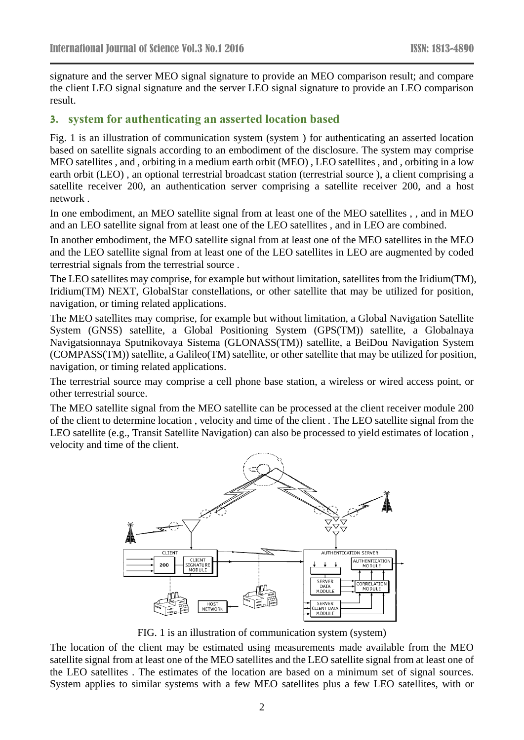signature and the server MEO signal signature to provide an MEO comparison result; and compare the client LEO signal signature and the server LEO signal signature to provide an LEO comparison result.

#### **3. system for authenticating an asserted location based**

Fig. 1 is an illustration of communication system (system ) for authenticating an asserted location based on satellite signals according to an embodiment of the disclosure. The system may comprise MEO satellites , and , orbiting in a medium earth orbit (MEO) , LEO satellites , and , orbiting in a low earth orbit (LEO) , an optional terrestrial broadcast station (terrestrial source ), a client comprising a satellite receiver 200, an authentication server comprising a satellite receiver 200, and a host network .

In one embodiment, an MEO satellite signal from at least one of the MEO satellites , , and in MEO and an LEO satellite signal from at least one of the LEO satellites , and in LEO are combined.

In another embodiment, the MEO satellite signal from at least one of the MEO satellites in the MEO and the LEO satellite signal from at least one of the LEO satellites in LEO are augmented by coded terrestrial signals from the terrestrial source .

The LEO satellites may comprise, for example but without limitation, satellites from the Iridium(TM), Iridium(TM) NEXT, GlobalStar constellations, or other satellite that may be utilized for position, navigation, or timing related applications.

The MEO satellites may comprise, for example but without limitation, a Global Navigation Satellite System (GNSS) satellite, a Global Positioning System (GPS(TM)) satellite, a Globalnaya Navigatsionnaya Sputnikovaya Sistema (GLONASS(TM)) satellite, a BeiDou Navigation System (COMPASS(TM)) satellite, a Galileo(TM) satellite, or other satellite that may be utilized for position, navigation, or timing related applications.

The terrestrial source may comprise a cell phone base station, a wireless or wired access point, or other terrestrial source.

The MEO satellite signal from the MEO satellite can be processed at the client receiver module 200 of the client to determine location , velocity and time of the client . The LEO satellite signal from the LEO satellite (e.g., Transit Satellite Navigation) can also be processed to yield estimates of location , velocity and time of the client.



FIG. 1 is an illustration of communication system (system)

The location of the client may be estimated using measurements made available from the MEO satellite signal from at least one of the MEO satellites and the LEO satellite signal from at least one of the LEO satellites . The estimates of the location are based on a minimum set of signal sources. System applies to similar systems with a few MEO satellites plus a few LEO satellites, with or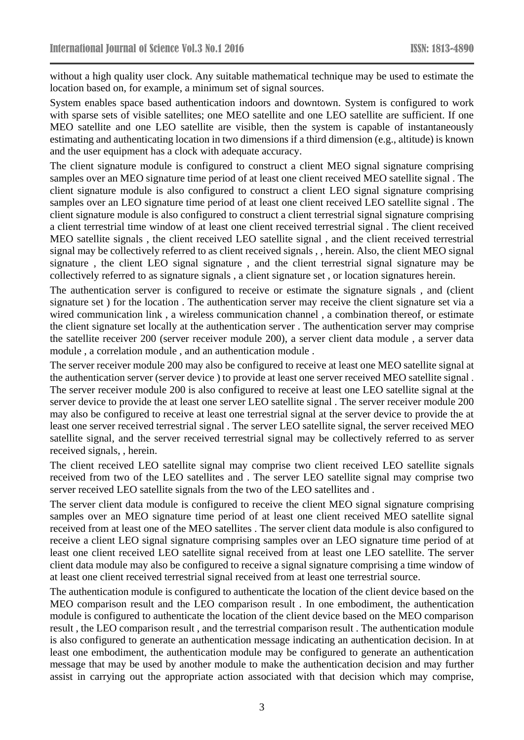without a high quality user clock. Any suitable mathematical technique may be used to estimate the location based on, for example, a minimum set of signal sources.

System enables space based authentication indoors and downtown. System is configured to work with sparse sets of visible satellites; one MEO satellite and one LEO satellite are sufficient. If one MEO satellite and one LEO satellite are visible, then the system is capable of instantaneously estimating and authenticating location in two dimensions if a third dimension (e.g., altitude) is known and the user equipment has a clock with adequate accuracy.

The client signature module is configured to construct a client MEO signal signature comprising samples over an MEO signature time period of at least one client received MEO satellite signal . The client signature module is also configured to construct a client LEO signal signature comprising samples over an LEO signature time period of at least one client received LEO satellite signal . The client signature module is also configured to construct a client terrestrial signal signature comprising a client terrestrial time window of at least one client received terrestrial signal . The client received MEO satellite signals , the client received LEO satellite signal , and the client received terrestrial signal may be collectively referred to as client received signals , , herein. Also, the client MEO signal signature , the client LEO signal signature , and the client terrestrial signal signature may be collectively referred to as signature signals , a client signature set , or location signatures herein.

The authentication server is configured to receive or estimate the signature signals , and (client signature set ) for the location . The authentication server may receive the client signature set via a wired communication link , a wireless communication channel , a combination thereof, or estimate the client signature set locally at the authentication server . The authentication server may comprise the satellite receiver 200 (server receiver module 200), a server client data module , a server data module , a correlation module , and an authentication module .

The server receiver module 200 may also be configured to receive at least one MEO satellite signal at the authentication server (server device ) to provide at least one server received MEO satellite signal . The server receiver module 200 is also configured to receive at least one LEO satellite signal at the server device to provide the at least one server LEO satellite signal . The server receiver module 200 may also be configured to receive at least one terrestrial signal at the server device to provide the at least one server received terrestrial signal . The server LEO satellite signal, the server received MEO satellite signal, and the server received terrestrial signal may be collectively referred to as server received signals, , herein.

The client received LEO satellite signal may comprise two client received LEO satellite signals received from two of the LEO satellites and . The server LEO satellite signal may comprise two server received LEO satellite signals from the two of the LEO satellites and .

The server client data module is configured to receive the client MEO signal signature comprising samples over an MEO signature time period of at least one client received MEO satellite signal received from at least one of the MEO satellites . The server client data module is also configured to receive a client LEO signal signature comprising samples over an LEO signature time period of at least one client received LEO satellite signal received from at least one LEO satellite. The server client data module may also be configured to receive a signal signature comprising a time window of at least one client received terrestrial signal received from at least one terrestrial source.

The authentication module is configured to authenticate the location of the client device based on the MEO comparison result and the LEO comparison result . In one embodiment, the authentication module is configured to authenticate the location of the client device based on the MEO comparison result , the LEO comparison result , and the terrestrial comparison result . The authentication module is also configured to generate an authentication message indicating an authentication decision. In at least one embodiment, the authentication module may be configured to generate an authentication message that may be used by another module to make the authentication decision and may further assist in carrying out the appropriate action associated with that decision which may comprise,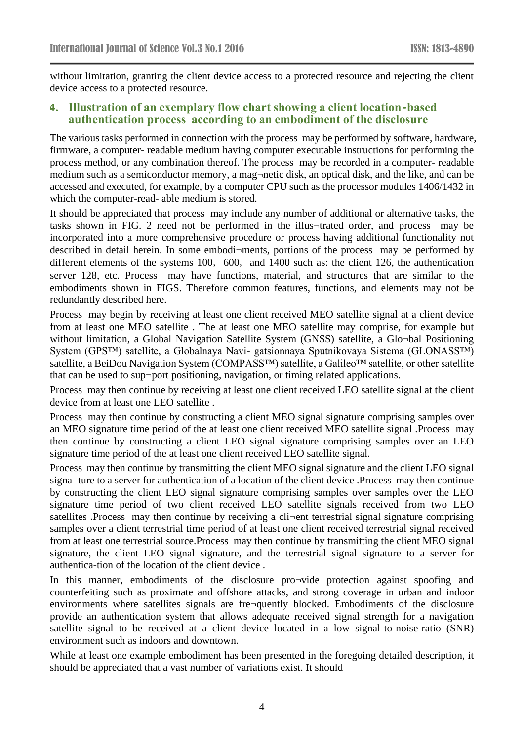without limitation, granting the client device access to a protected resource and rejecting the client device access to a protected resource.

### **4. Illustration of an exemplary flow chart showing a client location-based authentication process according to an embodiment of the disclosure**

The various tasks performed in connection with the process may be performed by software, hardware, firmware, a computer- readable medium having computer executable instructions for performing the process method, or any combination thereof. The process may be recorded in a computer- readable medium such as a semiconductor memory, a mag-netic disk, an optical disk, and the like, and can be accessed and executed, for example, by a computer CPU such as the processor modules 1406/1432 in which the computer-read- able medium is stored.

It should be appreciated that process may include any number of additional or alternative tasks, the tasks shown in FIG. 2 need not be performed in the illus-trated order, and process may be incorporated into a more comprehensive procedure or process having additional functionality not described in detail herein. In some embodi-ments, portions of the process may be performed by different elements of the systems 100, 600, and 1400 such as: the client 126, the authentication server 128, etc. Process may have functions, material, and structures that are similar to the embodiments shown in FIGS. Therefore common features, functions, and elements may not be redundantly described here.

Process may begin by receiving at least one client received MEO satellite signal at a client device from at least one MEO satellite . The at least one MEO satellite may comprise, for example but without limitation, a Global Navigation Satellite System (GNSS) satellite, a Glo-bal Positioning System (GPS™) satellite, a Globalnaya Navi- gatsionnaya Sputnikovaya Sistema (GLONASS™) satellite, a BeiDou Navigation System (COMPASS™) satellite, a Galileo™ satellite, or other satellite that can be used to sup¬port positioning, navigation, or timing related applications.

Process may then continue by receiving at least one client received LEO satellite signal at the client device from at least one LEO satellite .

Process may then continue by constructing a client MEO signal signature comprising samples over an MEO signature time period of the at least one client received MEO satellite signal .Process may then continue by constructing a client LEO signal signature comprising samples over an LEO signature time period of the at least one client received LEO satellite signal.

Process may then continue by transmitting the client MEO signal signature and the client LEO signal signa- ture to a server for authentication of a location of the client device .Process may then continue by constructing the client LEO signal signature comprising samples over samples over the LEO signature time period of two client received LEO satellite signals received from two LEO satellites .Process may then continue by receiving a cli-ent terrestrial signal signature comprising samples over a client terrestrial time period of at least one client received terrestrial signal received from at least one terrestrial source.Process may then continue by transmitting the client MEO signal signature, the client LEO signal signature, and the terrestrial signal signature to a server for authentica-tion of the location of the client device .

In this manner, embodiments of the disclosure pro $\neg$ vide protection against spoofing and counterfeiting such as proximate and offshore attacks, and strong coverage in urban and indoor environments where satellites signals are fre-quently blocked. Embodiments of the disclosure provide an authentication system that allows adequate received signal strength for a navigation satellite signal to be received at a client device located in a low signal-to-noise-ratio (SNR) environment such as indoors and downtown.

While at least one example embodiment has been presented in the foregoing detailed description, it should be appreciated that a vast number of variations exist. It should